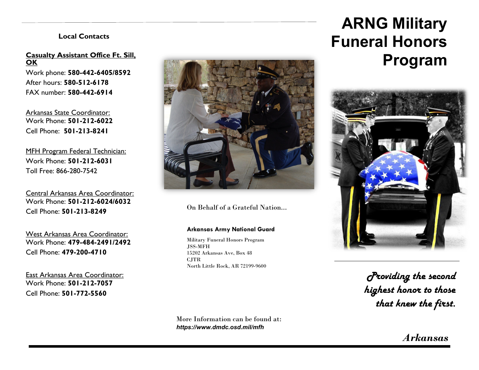#### **Local Contacts**

#### **Casualty Assistant Office Ft. Sill, OK**

Work phone: **580-442-6405/8592** After hours: **580-512-6178** FAX number: **580-442-6914**

Arkansas State Coordinator: Work Phone: **501-212-6022** Cell Phone: **501-213-8241**

MFH Program Federal Technician: Work Phone: **501-212-6031** Toll Free: 866-280-7542

Central Arkansas Area Coordinator: Work Phone: **501-212-6024/6032** Cell Phone: **501-213-8249**

West Arkansas Area Coordinator: Work Phone: **479-484-2491/2492** Cell Phone: **479-200-4710**

East Arkansas Area Coordinator: Work Phone: **501-212-7057** Cell Phone: **501-772-5560**



On Behalf of a Grateful Nation...

#### **Arkansas Army National Guard**

Military Funeral Honors Program JSS-MFH 15202 Arkansas Ave, Box 48 CJTR North Little Rock, AR 72199-9600

More Information can be found at: *https://www.dmdc.osd.mil/mfh*

# **ARNG Military Funeral Honors Program**



*Providing the second highest honor to those that knew the first.*

*Arkansas*